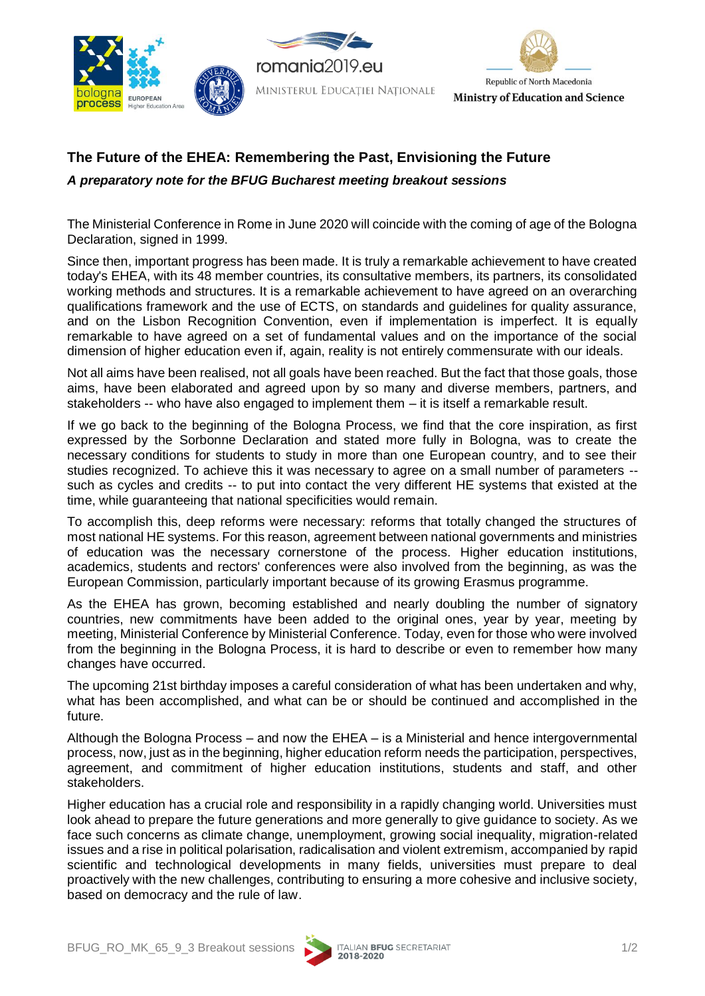





## **The Future of the EHEA: Remembering the Past, Envisioning the Future**

*A preparatory note for the BFUG Bucharest meeting breakout sessions* 

The Ministerial Conference in Rome in June 2020 will coincide with the coming of age of the Bologna Declaration, signed in 1999.

Since then, important progress has been made. It is truly a remarkable achievement to have created today's EHEA, with its 48 member countries, its consultative members, its partners, its consolidated working methods and structures. It is a remarkable achievement to have agreed on an overarching qualifications framework and the use of ECTS, on standards and guidelines for quality assurance, and on the Lisbon Recognition Convention, even if implementation is imperfect. It is equally remarkable to have agreed on a set of fundamental values and on the importance of the social dimension of higher education even if, again, reality is not entirely commensurate with our ideals.

Not all aims have been realised, not all goals have been reached. But the fact that those goals, those aims, have been elaborated and agreed upon by so many and diverse members, partners, and stakeholders -- who have also engaged to implement them – it is itself a remarkable result.

If we go back to the beginning of the Bologna Process, we find that the core inspiration, as first expressed by the Sorbonne Declaration and stated more fully in Bologna, was to create the necessary conditions for students to study in more than one European country, and to see their studies recognized. To achieve this it was necessary to agree on a small number of parameters - such as cycles and credits -- to put into contact the very different HE systems that existed at the time, while guaranteeing that national specificities would remain.

To accomplish this, deep reforms were necessary: reforms that totally changed the structures of most national HE systems. For this reason, agreement between national governments and ministries of education was the necessary cornerstone of the process. Higher education institutions, academics, students and rectors' conferences were also involved from the beginning, as was the European Commission, particularly important because of its growing Erasmus programme.

As the EHEA has grown, becoming established and nearly doubling the number of signatory countries, new commitments have been added to the original ones, year by year, meeting by meeting, Ministerial Conference by Ministerial Conference. Today, even for those who were involved from the beginning in the Bologna Process, it is hard to describe or even to remember how many changes have occurred.

The upcoming 21st birthday imposes a careful consideration of what has been undertaken and why, what has been accomplished, and what can be or should be continued and accomplished in the future.

Although the Bologna Process – and now the EHEA – is a Ministerial and hence intergovernmental process, now, just as in the beginning, higher education reform needs the participation, perspectives, agreement, and commitment of higher education institutions, students and staff, and other stakeholders.

Higher education has a crucial role and responsibility in a rapidly changing world. Universities must look ahead to prepare the future generations and more generally to give guidance to society. As we face such concerns as climate change, unemployment, growing social inequality, migration-related issues and a rise in political polarisation, radicalisation and violent extremism, accompanied by rapid scientific and technological developments in many fields, universities must prepare to deal proactively with the new challenges, contributing to ensuring a more cohesive and inclusive society, based on democracy and the rule of law.